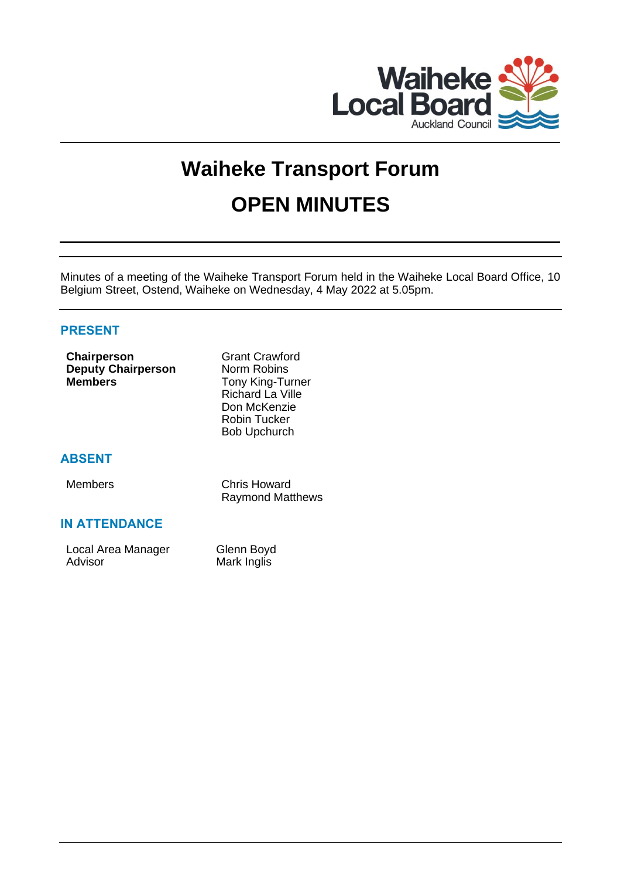

# **Waiheke Transport Forum OPEN MINUTES**

Minutes of a meeting of the Waiheke Transport Forum held in the Waiheke Local Board Office, 10 Belgium Street, Ostend, Waiheke on Wednesday, 4 May 2022 at 5.05pm.

# **PRESENT**

| Chairperson<br><b>Deputy Chairperson</b><br><b>Members</b> | <b>Grant Crawford</b><br>Norm Robins<br><b>Tony King-Turner</b><br><b>Richard La Ville</b><br>Don McKenzie<br>Robin Tucker<br><b>Bob Upchurch</b> |
|------------------------------------------------------------|---------------------------------------------------------------------------------------------------------------------------------------------------|
| <b>ABSENT</b>                                              |                                                                                                                                                   |
| <b>Members</b>                                             | <b>Chris Howard</b><br><b>Raymond Matthews</b>                                                                                                    |
| <b>IN ATTENDANCE</b>                                       |                                                                                                                                                   |
| Local Area Manager<br>Advisor                              | Glenn Boyd<br>Mark Inglis                                                                                                                         |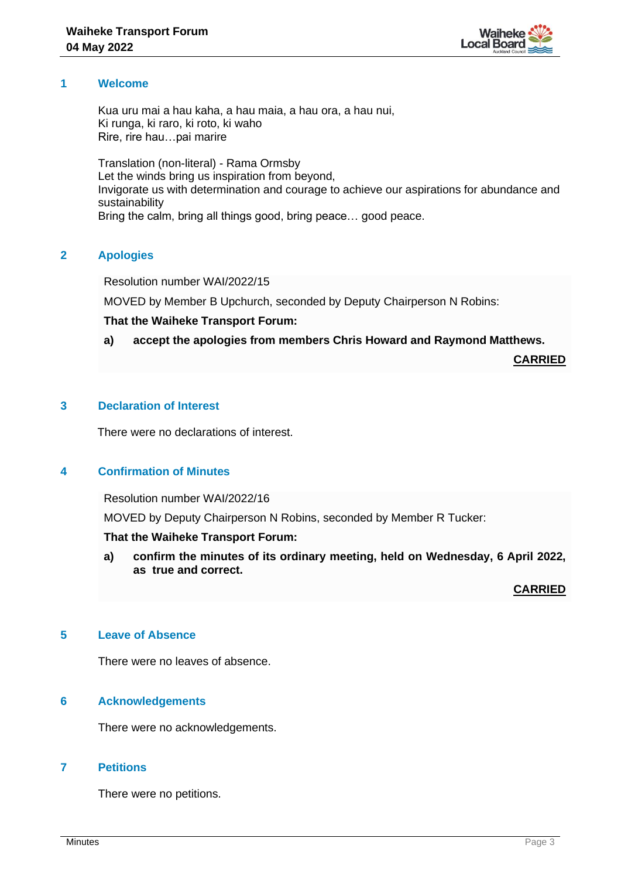

## **1 Welcome**

Kua uru mai a hau kaha, a hau maia, a hau ora, a hau nui, Ki runga, ki raro, ki roto, ki waho Rire, rire hau…pai marire

Translation (non-literal) - Rama Ormsby Let the winds bring us inspiration from beyond, Invigorate us with determination and courage to achieve our aspirations for abundance and sustainability Bring the calm, bring all things good, bring peace… good peace.

## **2 Apologies**

Resolution number WAI/2022/15

MOVED by Member B Upchurch, seconded by Deputy Chairperson N Robins:

## **That the Waiheke Transport Forum:**

## **a) accept the apologies from members Chris Howard and Raymond Matthews.**

**CARRIED**

# **3 Declaration of Interest**

There were no declarations of interest.

## **4 Confirmation of Minutes**

Resolution number WAI/2022/16

MOVED by Deputy Chairperson N Robins, seconded by Member R Tucker:

## **That the Waiheke Transport Forum:**

**a) confirm the minutes of its ordinary meeting, held on Wednesday, 6 April 2022, as true and correct.**

**CARRIED**

## **5 Leave of Absence**

There were no leaves of absence.

## **6 Acknowledgements**

There were no acknowledgements.

# **7 Petitions**

There were no petitions.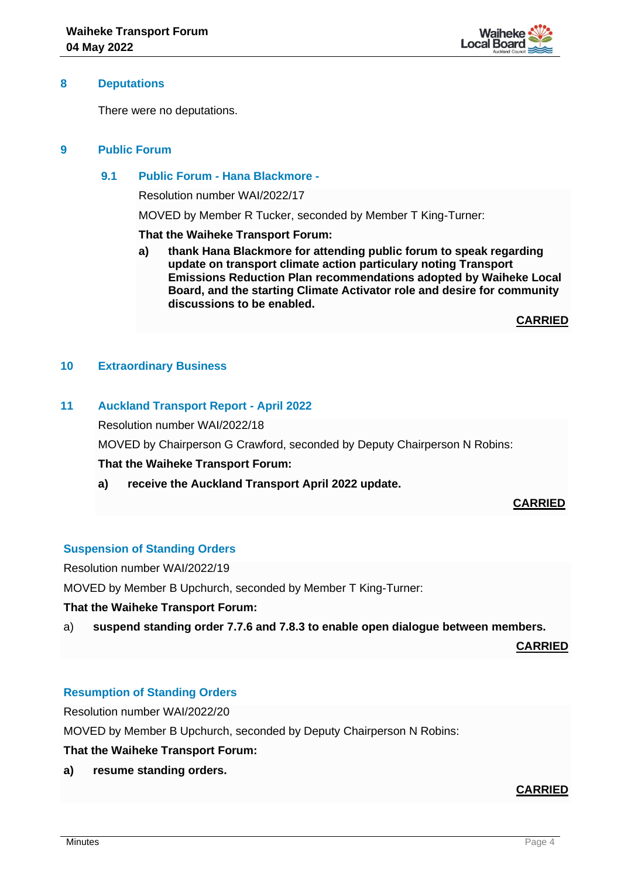

#### **8 Deputations**

There were no deputations.

# **9 Public Forum**

## **9.1 Public Forum - Hana Blackmore -**

Resolution number WAI/2022/17

MOVED by Member R Tucker, seconded by Member T King-Turner:

**That the Waiheke Transport Forum:**

**a) thank Hana Blackmore for attending public forum to speak regarding update on transport climate action particulary noting Transport Emissions Reduction Plan recommendations adopted by Waiheke Local Board, and the starting Climate Activator role and desire for community discussions to be enabled.**

**CARRIED**

## **10 Extraordinary Business**

# **11 Auckland Transport Report - April 2022**

Resolution number WAI/2022/18

MOVED by Chairperson G Crawford, seconded by Deputy Chairperson N Robins:

#### **That the Waiheke Transport Forum:**

**a) receive the Auckland Transport April 2022 update.**

## **CARRIED**

## **Suspension of Standing Orders**

Resolution number WAI/2022/19

MOVED by Member B Upchurch, seconded by Member T King-Turner:

#### **That the Waiheke Transport Forum:**

a) **suspend standing order 7.7.6 and 7.8.3 to enable open dialogue between members.**

**CARRIED**

## **Resumption of Standing Orders**

Resolution number WAI/2022/20

MOVED by Member B Upchurch, seconded by Deputy Chairperson N Robins:

**That the Waiheke Transport Forum:**

**a) resume standing orders.**

#### **CARRIED**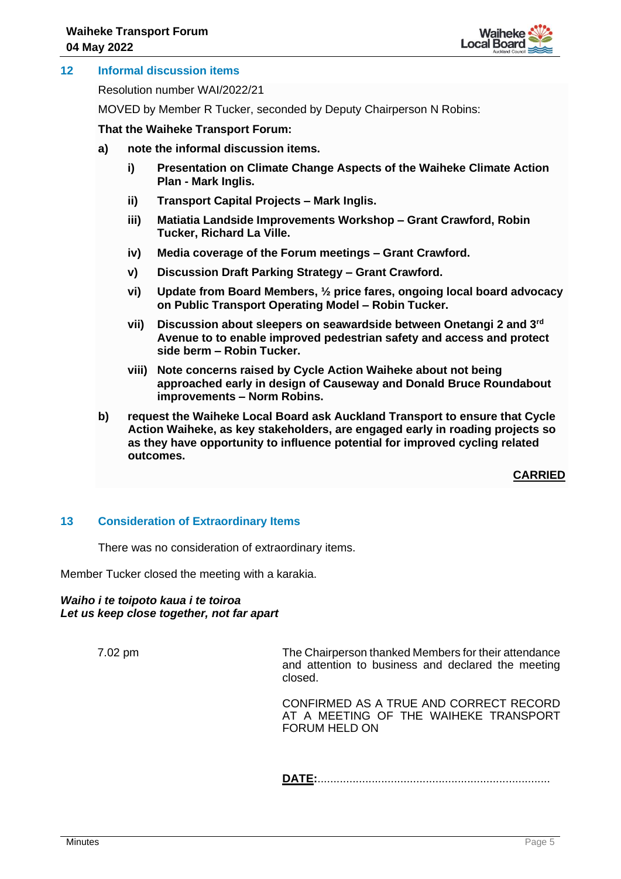

## **12 Informal discussion items**

Resolution number WAI/2022/21

MOVED by Member R Tucker, seconded by Deputy Chairperson N Robins:

#### **That the Waiheke Transport Forum:**

- **a) note the informal discussion items.**
	- **i) Presentation on Climate Change Aspects of the Waiheke Climate Action Plan - Mark Inglis.**
	- **ii) Transport Capital Projects – Mark Inglis.**
	- **iii) Matiatia Landside Improvements Workshop – Grant Crawford, Robin Tucker, Richard La Ville.**
	- **iv) Media coverage of the Forum meetings – Grant Crawford.**
	- **v) Discussion Draft Parking Strategy – Grant Crawford.**
	- **vi) Update from Board Members, ½ price fares, ongoing local board advocacy on Public Transport Operating Model – Robin Tucker.**
	- **vii) Discussion about sleepers on seawardside between Onetangi 2 and 3rd Avenue to to enable improved pedestrian safety and access and protect side berm – Robin Tucker.**
	- **viii) Note concerns raised by Cycle Action Waiheke about not being approached early in design of Causeway and Donald Bruce Roundabout improvements – Norm Robins.**
- **b) request the Waiheke Local Board ask Auckland Transport to ensure that Cycle Action Waiheke, as key stakeholders, are engaged early in roading projects so as they have opportunity to influence potential for improved cycling related outcomes.**

**CARRIED**

## **13 Consideration of Extraordinary Items**

There was no consideration of extraordinary items.

Member Tucker closed the meeting with a karakia.

#### *Waiho i te toipoto kaua i te toiroa Let us keep close together, not far apart*

7.02 pm The Chairperson thanked Members for their attendance and attention to business and declared the meeting closed.

> CONFIRMED AS A TRUE AND CORRECT RECORD AT A MEETING OF THE WAIHEKE TRANSPORT FORUM HELD ON

**DATE:**.........................................................................